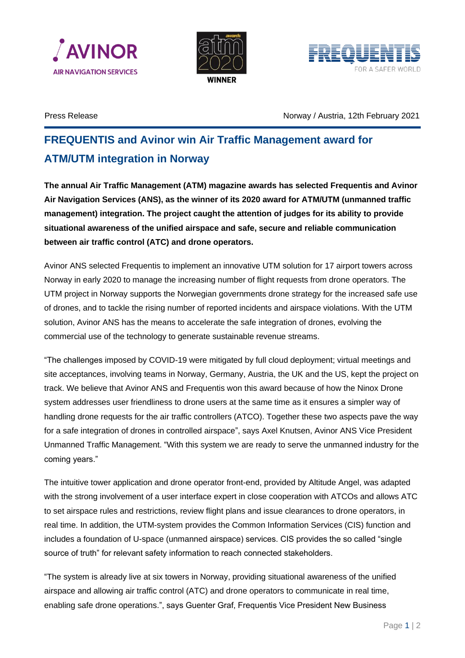





Press Release Norway / Austria, 12th February 2021

## **FREQUENTIS and Avinor win Air Traffic Management award for ATM/UTM integration in Norway**

**The annual Air Traffic Management (ATM) magazine awards has selected Frequentis and Avinor Air Navigation Services (ANS), as the winner of its 2020 award for ATM/UTM (unmanned traffic management) integration. The project caught the attention of judges for its ability to provide situational awareness of the unified airspace and safe, secure and reliable communication between air traffic control (ATC) and drone operators.**

Avinor ANS selected Frequentis to implement an innovative UTM solution for 17 airport towers across Norway in early 2020 to manage the increasing number of flight requests from drone operators. The UTM project in Norway supports the Norwegian governments drone strategy for the increased safe use of drones, and to tackle the rising number of reported incidents and airspace violations. With the UTM solution, Avinor ANS has the means to accelerate the safe integration of drones, evolving the commercial use of the technology to generate sustainable revenue streams.

"The challenges imposed by COVID-19 were mitigated by full cloud deployment; virtual meetings and site acceptances, involving teams in Norway, Germany, Austria, the UK and the US, kept the project on track. We believe that Avinor ANS and Frequentis won this award because of how the Ninox Drone system addresses user friendliness to drone users at the same time as it ensures a simpler way of handling drone requests for the air traffic controllers (ATCO). Together these two aspects pave the way for a safe integration of drones in controlled airspace", says Axel Knutsen, Avinor ANS Vice President Unmanned Traffic Management. "With this system we are ready to serve the unmanned industry for the coming years."

The intuitive tower application and drone operator front-end, provided by Altitude Angel, was adapted with the strong involvement of a user interface expert in close cooperation with ATCOs and allows ATC to set airspace rules and restrictions, review flight plans and issue clearances to drone operators, in real time. In addition, the UTM-system provides the Common Information Services (CIS) function and includes a foundation of U-space (unmanned airspace) services. CIS provides the so called "single source of truth" for relevant safety information to reach connected stakeholders.

"The system is already live at six towers in Norway, providing situational awareness of the unified airspace and allowing air traffic control (ATC) and drone operators to communicate in real time, enabling safe drone operations.", says Guenter Graf, Frequentis Vice President New Business